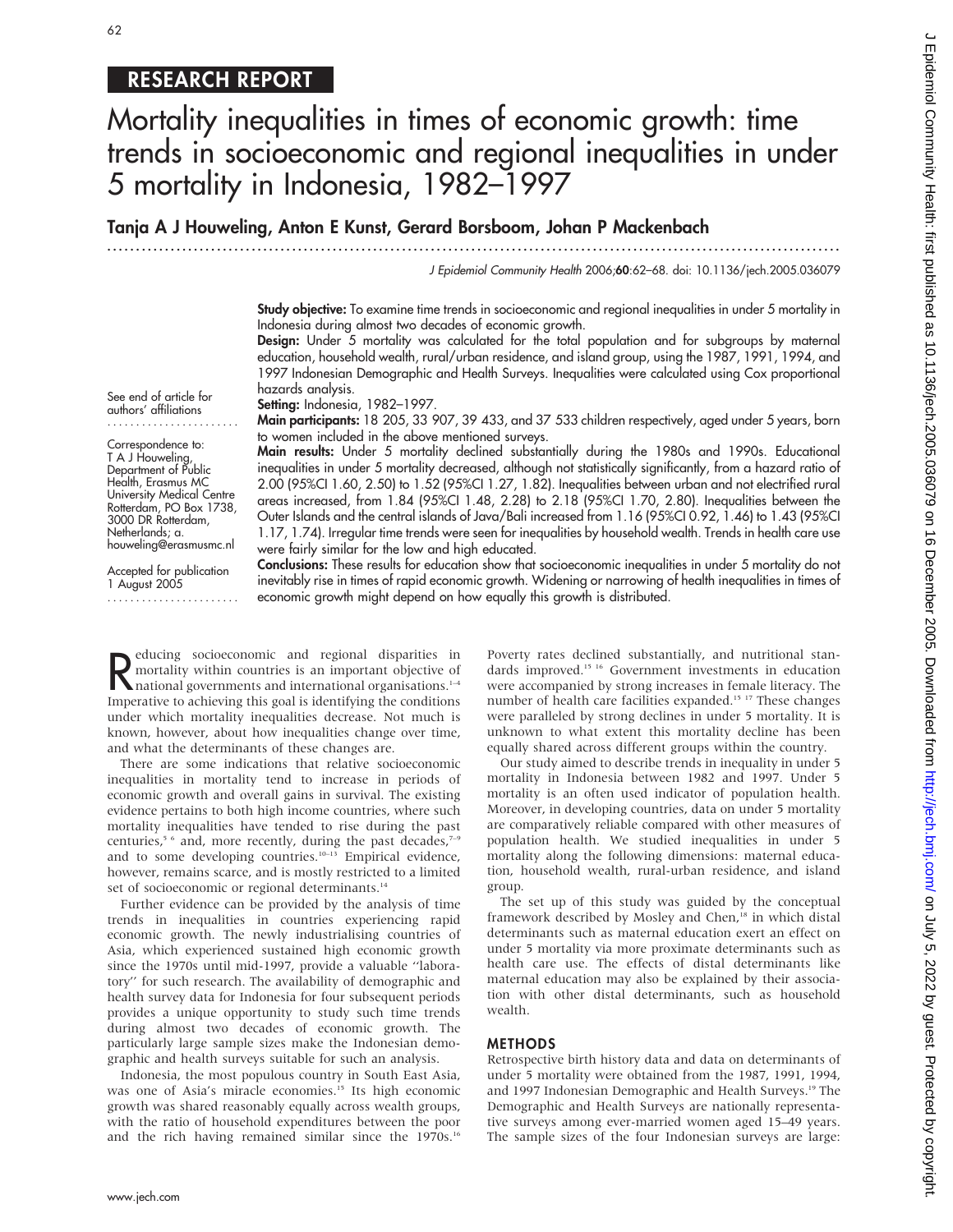## RESEARCH REPORT

# Mortality inequalities in times of economic growth: time trends in socioeconomic and regional inequalities in under 5 mortality in Indonesia, 1982–1997

Tanja A J Houweling, Anton E Kunst, Gerard Borsboom, Johan P Mackenbach

...............................................................................................................................

J Epidemiol Community Health 2006;60:62–68. doi: 10.1136/jech.2005.036079

Study objective: To examine time trends in socioeconomic and regional inequalities in under 5 mortality in Indonesia during almost two decades of economic growth.

Design: Under 5 mortality was calculated for the total population and for subgroups by maternal education, household wealth, rural/urban residence, and island group, using the 1987, 1991, 1994, and 1997 Indonesian Demographic and Health Surveys. Inequalities were calculated using Cox proportional hazards analysis.

See end of article for authors' affiliations .......................

Correspondence to:

T A J Houweling, Department of Public Health, Erasmus MC University Medical Centre Rotterdam, PO Box 1738, 3000 DR Rotterdam, Netherlands; a. houweling@erasmusmc.nl

Accepted for publication 1 August 2005 ....................... Setting: Indonesia, 1982-1997.

Main participants: 18 205, 33 907, 39 433, and 37 533 children respectively, aged under 5 years, born to women included in the above mentioned surveys.

Main results: Under 5 mortality declined substantially during the 1980s and 1990s. Educational inequalities in under 5 mortality decreased, although not statistically significantly, from a hazard ratio of 2.00 (95%CI 1.60, 2.50) to 1.52 (95%CI 1.27, 1.82). Inequalities between urban and not electrified rural areas increased, from 1.84 (95%CI 1.48, 2.28) to 2.18 (95%CI 1.70, 2.80). Inequalities between the Outer Islands and the central islands of Java/Bali increased from 1.16 (95%CI 0.92, 1.46) to 1.43 (95%CI 1.17, 1.74). Irregular time trends were seen for inequalities by household wealth. Trends in health care use were fairly similar for the low and high educated.

Conclusions: These results for education show that socioeconomic inequalities in under 5 mortality do not inevitably rise in times of rapid economic growth. Widening or narrowing of health inequalities in times of economic growth might depend on how equally this growth is distributed.

Reducing socioeconomic and regional disparities in<br>
mortality within countries is an important objective of<br>
mational governments and international organisations.<sup>1-4</sup><br>
Imparative to achieving this goal is identifying the educing socioeconomic and regional disparities in mortality within countries is an important objective of Imperative to achieving this goal is identifying the conditions under which mortality inequalities decrease. Not much is known, however, about how inequalities change over time, and what the determinants of these changes are.

There are some indications that relative socioeconomic inequalities in mortality tend to increase in periods of economic growth and overall gains in survival. The existing evidence pertains to both high income countries, where such mortality inequalities have tended to rise during the past centuries,<sup>5 6</sup> and, more recently, during the past decades, $7-9$ and to some developing countries.<sup>10-13</sup> Empirical evidence, however, remains scarce, and is mostly restricted to a limited set of socioeconomic or regional determinants.<sup>14</sup>

Further evidence can be provided by the analysis of time trends in inequalities in countries experiencing rapid economic growth. The newly industrialising countries of Asia, which experienced sustained high economic growth since the 1970s until mid-1997, provide a valuable ''laboratory'' for such research. The availability of demographic and health survey data for Indonesia for four subsequent periods provides a unique opportunity to study such time trends during almost two decades of economic growth. The particularly large sample sizes make the Indonesian demographic and health surveys suitable for such an analysis.

Indonesia, the most populous country in South East Asia, was one of Asia's miracle economies.<sup>15</sup> Its high economic growth was shared reasonably equally across wealth groups, with the ratio of household expenditures between the poor and the rich having remained similar since the 1970s.<sup>16</sup> Poverty rates declined substantially, and nutritional standards improved.<sup>15 16</sup> Government investments in education were accompanied by strong increases in female literacy. The number of health care facilities expanded.15 17 These changes were paralleled by strong declines in under 5 mortality. It is unknown to what extent this mortality decline has been equally shared across different groups within the country.

Our study aimed to describe trends in inequality in under 5 mortality in Indonesia between 1982 and 1997. Under 5 mortality is an often used indicator of population health. Moreover, in developing countries, data on under 5 mortality are comparatively reliable compared with other measures of population health. We studied inequalities in under 5 mortality along the following dimensions: maternal education, household wealth, rural-urban residence, and island group.

The set up of this study was guided by the conceptual framework described by Mosley and Chen,<sup>18</sup> in which distal determinants such as maternal education exert an effect on under 5 mortality via more proximate determinants such as health care use. The effects of distal determinants like maternal education may also be explained by their association with other distal determinants, such as household wealth.

## METHODS

Retrospective birth history data and data on determinants of under 5 mortality were obtained from the 1987, 1991, 1994, and 1997 Indonesian Demographic and Health Surveys.<sup>19</sup> The Demographic and Health Surveys are nationally representative surveys among ever-married women aged 15–49 years. The sample sizes of the four Indonesian surveys are large: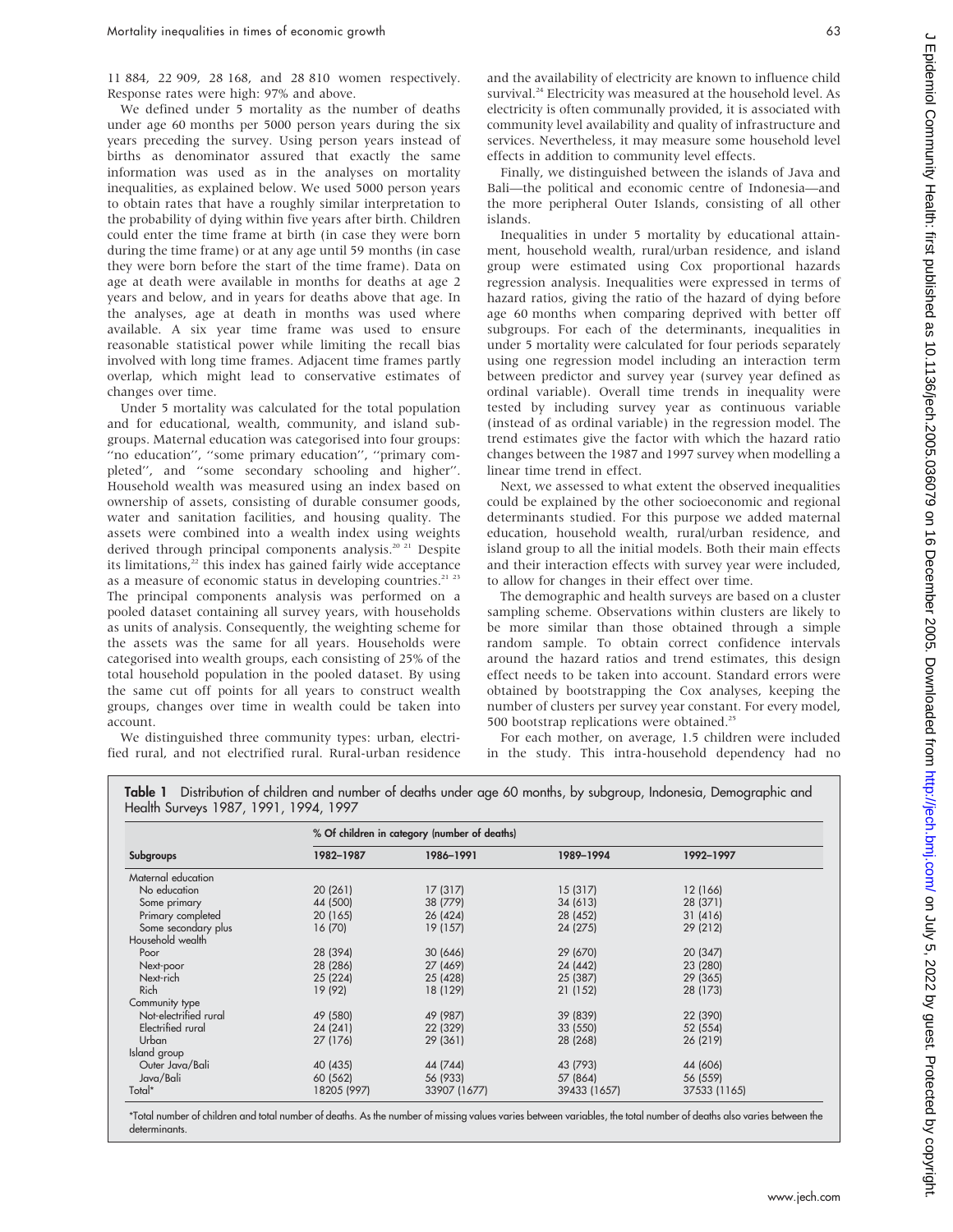11 884, 22 909, 28 168, and 28 810 women respectively. Response rates were high: 97% and above.

We defined under 5 mortality as the number of deaths under age 60 months per 5000 person years during the six years preceding the survey. Using person years instead of births as denominator assured that exactly the same information was used as in the analyses on mortality inequalities, as explained below. We used 5000 person years to obtain rates that have a roughly similar interpretation to the probability of dying within five years after birth. Children could enter the time frame at birth (in case they were born during the time frame) or at any age until 59 months (in case they were born before the start of the time frame). Data on age at death were available in months for deaths at age 2 years and below, and in years for deaths above that age. In the analyses, age at death in months was used where available. A six year time frame was used to ensure reasonable statistical power while limiting the recall bias involved with long time frames. Adjacent time frames partly overlap, which might lead to conservative estimates of changes over time.

Under 5 mortality was calculated for the total population and for educational, wealth, community, and island subgroups. Maternal education was categorised into four groups: "no education", "some primary education", "primary completed'', and ''some secondary schooling and higher''. Household wealth was measured using an index based on ownership of assets, consisting of durable consumer goods, water and sanitation facilities, and housing quality. The assets were combined into a wealth index using weights derived through principal components analysis.<sup>20</sup><sup>21</sup> Despite its limitations, $22$  this index has gained fairly wide acceptance as a measure of economic status in developing countries.<sup>21</sup> <sup>23</sup> The principal components analysis was performed on a pooled dataset containing all survey years, with households as units of analysis. Consequently, the weighting scheme for the assets was the same for all years. Households were categorised into wealth groups, each consisting of 25% of the total household population in the pooled dataset. By using the same cut off points for all years to construct wealth groups, changes over time in wealth could be taken into account.

We distinguished three community types: urban, electrified rural, and not electrified rural. Rural-urban residence and the availability of electricity are known to influence child survival.<sup>24</sup> Electricity was measured at the household level. As electricity is often communally provided, it is associated with community level availability and quality of infrastructure and services. Nevertheless, it may measure some household level effects in addition to community level effects.

Finally, we distinguished between the islands of Java and Bali—the political and economic centre of Indonesia—and the more peripheral Outer Islands, consisting of all other islands.

Inequalities in under 5 mortality by educational attainment, household wealth, rural/urban residence, and island group were estimated using Cox proportional hazards regression analysis. Inequalities were expressed in terms of hazard ratios, giving the ratio of the hazard of dying before age 60 months when comparing deprived with better off subgroups. For each of the determinants, inequalities in under 5 mortality were calculated for four periods separately using one regression model including an interaction term between predictor and survey year (survey year defined as ordinal variable). Overall time trends in inequality were tested by including survey year as continuous variable (instead of as ordinal variable) in the regression model. The trend estimates give the factor with which the hazard ratio changes between the 1987 and 1997 survey when modelling a linear time trend in effect.

Next, we assessed to what extent the observed inequalities could be explained by the other socioeconomic and regional determinants studied. For this purpose we added maternal education, household wealth, rural/urban residence, and island group to all the initial models. Both their main effects and their interaction effects with survey year were included, to allow for changes in their effect over time.

The demographic and health surveys are based on a cluster sampling scheme. Observations within clusters are likely to be more similar than those obtained through a simple random sample. To obtain correct confidence intervals around the hazard ratios and trend estimates, this design effect needs to be taken into account. Standard errors were obtained by bootstrapping the Cox analyses, keeping the number of clusters per survey year constant. For every model, 500 bootstrap replications were obtained.<sup>25</sup>

For each mother, on average, 1.5 children were included in the study. This intra-household dependency had no

| Subgroups             | % Of children in category (number of deaths) |              |              |              |  |  |  |  |  |
|-----------------------|----------------------------------------------|--------------|--------------|--------------|--|--|--|--|--|
|                       | 1982-1987                                    | 1986-1991    | 1989-1994    | 1992-1997    |  |  |  |  |  |
| Maternal education    |                                              |              |              |              |  |  |  |  |  |
| No education          | 20 (261)                                     | 17(317)      | 15(317)      | 12 (166)     |  |  |  |  |  |
| Some primary          | 44 (500)                                     | 38 (779)     | 34 (613)     | 28 (371)     |  |  |  |  |  |
| Primary completed     | 20 (165)                                     | 26 (424)     | 28 (452)     | 31 (416)     |  |  |  |  |  |
| Some secondary plus   | 16(70)                                       | 19 (157)     | 24 (275)     | 29 (212)     |  |  |  |  |  |
| Household wealth      |                                              |              |              |              |  |  |  |  |  |
| Poor                  | 28 (394)                                     | 30 (646)     | 29 (670)     | 20 (347)     |  |  |  |  |  |
| Next-poor             | 28 (286)                                     | 27 (469)     | 24 (442)     | 23 (280)     |  |  |  |  |  |
| Next-rich             | 25 (224)                                     | 25 (428)     | 25 (387)     | 29 (365)     |  |  |  |  |  |
| <b>Rich</b>           | 19 (92)                                      | 18 (129)     | 21 (152)     | 28 (173)     |  |  |  |  |  |
| Community type        |                                              |              |              |              |  |  |  |  |  |
| Not-electrified rural | 49 (580)                                     | 49 (987)     | 39 (839)     | 22 (390)     |  |  |  |  |  |
| Electrified rural     | 24 (241)                                     | 22 (329)     | 33 (550)     | 52 (554)     |  |  |  |  |  |
| Urban                 | 27 (176)                                     | 29 (361)     | 28 (268)     | 26 (219)     |  |  |  |  |  |
| Island group          |                                              |              |              |              |  |  |  |  |  |
| Outer Java/Bali       | 40 (435)                                     | 44 (744)     | 43 (793)     | 44 (606)     |  |  |  |  |  |
| Java/Bali             | 60 (562)                                     | 56 (933)     | 57 (864)     | 56 (559)     |  |  |  |  |  |
| Total*                | 18205 (997)                                  | 33907 (1677) | 39433 (1657) | 37533 (1165) |  |  |  |  |  |

Table 1 Distribution of children and number of deaths under age 60 months, by subgroup, Indonesia, Demographic and

\*Total number of children and total number of deaths. As the number of missing values varies between variables, the total number of deaths also varies between the determinants.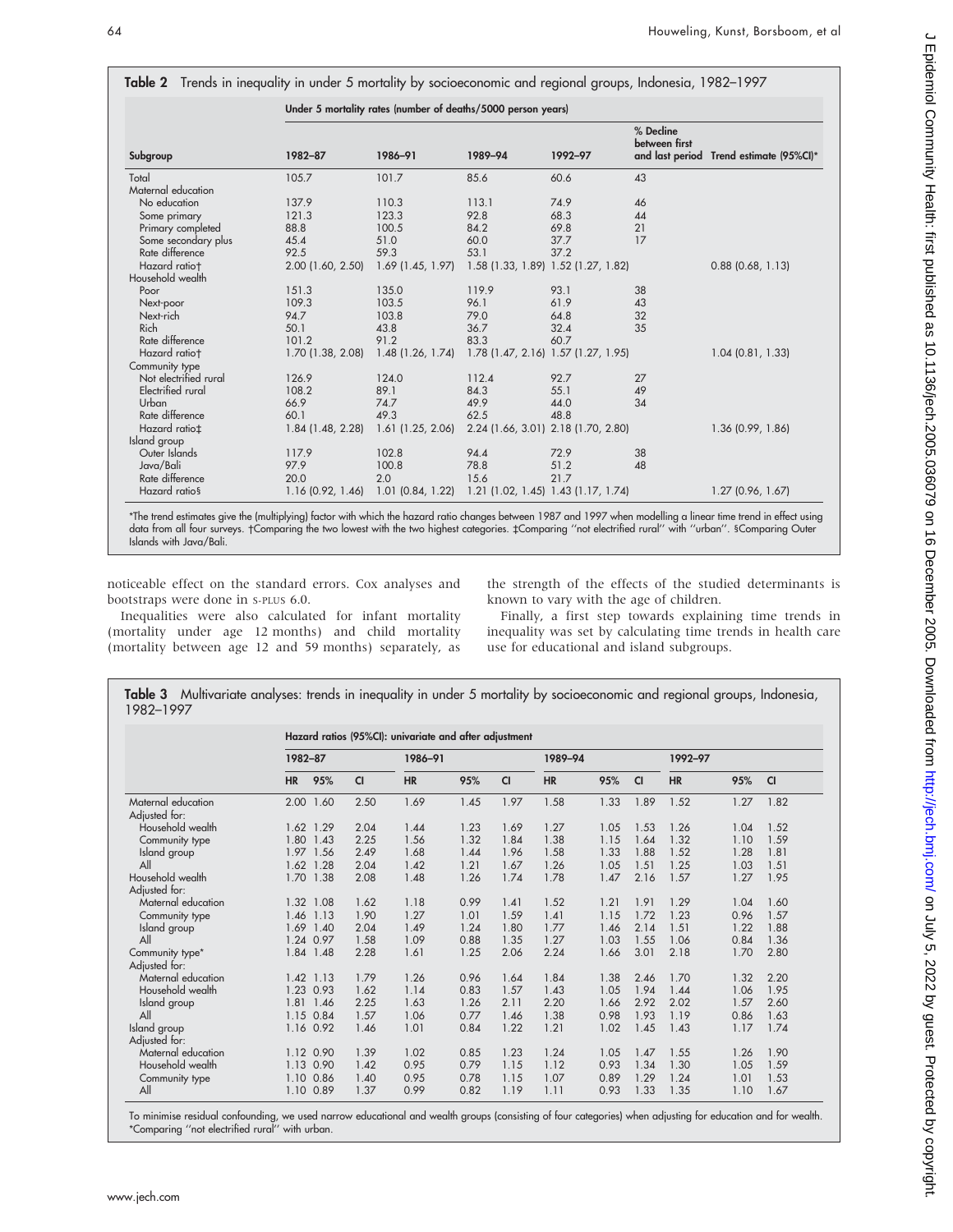| Subgroup              |                   | Under 5 mortality rates (number of deaths/5000 person years)            |                                                       |         |                            |                                         |
|-----------------------|-------------------|-------------------------------------------------------------------------|-------------------------------------------------------|---------|----------------------------|-----------------------------------------|
|                       | 1982-87           | 1986-91                                                                 | 1989-94                                               | 1992-97 | % Decline<br>between first | and last period Trend estimate (95%CI)* |
| Total                 | 105.7             | 101.7                                                                   | 85.6                                                  | 60.6    | 43                         |                                         |
| Maternal education    |                   |                                                                         |                                                       |         |                            |                                         |
| No education          | 137.9             | 110.3                                                                   | 113.1                                                 | 74.9    | 46                         |                                         |
| Some primary          | 121.3             | 123.3                                                                   | 92.8                                                  | 68.3    | 44                         |                                         |
| Primary completed     | 88.8              | 100.5                                                                   | 84.2                                                  | 69.8    | 21                         |                                         |
| Some secondary plus   | 45.4              | 51.0                                                                    | 60.0                                                  | 37.7    | 17                         |                                         |
| Rate difference       | 92.5              | 59.3                                                                    | 53.1                                                  | 37.2    |                            |                                         |
| Hazard ratiot         |                   | 2.00 (1.60, 2.50) 1.69 (1.45, 1.97) 1.58 (1.33, 1.89) 1.52 (1.27, 1.82) |                                                       |         |                            | $0.88$ (0.68, 1.13)                     |
| Household wealth      |                   |                                                                         |                                                       |         |                            |                                         |
| Poor                  | 151.3             | 135.0                                                                   | 119.9                                                 | 93.1    | 38                         |                                         |
| Next-poor             | 109.3             | 103.5                                                                   | 96.1                                                  | 61.9    | 43                         |                                         |
| Next-rich             | 94.7              | 103.8                                                                   | 79.0                                                  | 64.8    | 32                         |                                         |
| Rich                  | 50.1              | 43.8                                                                    | 36.7                                                  | 32.4    | 35                         |                                         |
| Rate difference       | 101.2             | 91.2                                                                    | 83.3                                                  | 60.7    |                            |                                         |
| Hazard ratiot         | 1.70 (1.38, 2.08) |                                                                         | 1.48 (1.26, 1.74) 1.78 (1.47, 2.16) 1.57 (1.27, 1.95) |         |                            | $1.04$ (0.81, 1.33)                     |
| Community type        |                   |                                                                         |                                                       |         |                            |                                         |
| Not electrified rural | 126.9             | 124.0                                                                   | 112.4                                                 | 92.7    | 27                         |                                         |
| Electrified rural     | 108.2             | 89.1                                                                    | 84.3                                                  | 55.1    | 49                         |                                         |
| Urban                 | 66.9              | 74.7                                                                    | 49.9                                                  | 44.0    | 34                         |                                         |
| Rate difference       | 60.1              | 49.3                                                                    | 62.5                                                  | 48.8    |                            |                                         |
| Hazard ratio‡         |                   | 1.84 (1.48, 2.28) 1.61 (1.25, 2.06) 2.24 (1.66, 3.01) 2.18 (1.70, 2.80) |                                                       |         |                            | 1.36 (0.99, 1.86)                       |
| Island group          |                   |                                                                         |                                                       |         |                            |                                         |
| Outer Islands         | 117.9             | 102.8                                                                   | 94.4                                                  | 72.9    | 38                         |                                         |
| Java/Bali             | 97.9              | 100.8                                                                   | 78.8                                                  | 51.2    | 48                         |                                         |
| Rate difference       | 20.0              | 2.0                                                                     | 15.6                                                  | 21.7    |                            |                                         |
| Hazard ratio§         |                   | 1.16 (0.92, 1.46) 1.01 (0.84, 1.22) 1.21 (1.02, 1.45) 1.43 (1.17, 1.74) |                                                       |         |                            | $1.27$ (0.96, 1.67)                     |

\*The trend estimates give the (multiplying) factor with which the hazard ratio changes between 1987 and 1997 when modelling a linear time trend in effect using data from all four surveys. +Comparing the two lowest with the two highest categories. ‡Comparing "not electrified rural" with "urban". §Comparing Outer Islands with Java/Bali.

noticeable effect on the standard errors. Cox analyses and bootstraps were done in S-PLUS 6.0.

Inequalities were also calculated for infant mortality (mortality under age 12 months) and child mortality (mortality between age 12 and 59 months) separately, as the strength of the effects of the studied determinants is known to vary with the age of children.

Finally, a first step towards explaining time trends in inequality was set by calculating time trends in health care use for educational and island subgroups.

Table 3 Multivariate analyses: trends in inequality in under 5 mortality by socioeconomic and regional groups, Indonesia, 1982–1997

|                                     | Hazard ratios (95%CI): univariate and after adjustment |             |           |           |      |           |           |      |           |           |      |           |
|-------------------------------------|--------------------------------------------------------|-------------|-----------|-----------|------|-----------|-----------|------|-----------|-----------|------|-----------|
|                                     | 1982-87                                                |             |           | 1986-91   |      | 1989-94   |           |      | 1992-97   |           |      |           |
|                                     | <b>HR</b>                                              | 95%         | <b>CI</b> | <b>HR</b> | 95%  | <b>CI</b> | <b>HR</b> | 95%  | <b>CI</b> | <b>HR</b> | 95%  | <b>CI</b> |
| Maternal education<br>Adjusted for: | 2.00                                                   | 1.60        | 2.50      | 1.69      | 1.45 | 1.97      | 1.58      | 1.33 | 1.89      | 1.52      | 1.27 | 1.82      |
| Household wealth                    |                                                        | 1.62 1.29   | 2.04      | 1.44      | 1.23 | 1.69      | 1.27      | 1.05 | 1.53      | 1.26      | 1.04 | 1.52      |
| Community type                      | 1.80                                                   | 1.43        | 2.25      | 1.56      | 1.32 | 1.84      | 1.38      | 1.15 | 1.64      | 1.32      | 1.10 | 1.59      |
| Island group                        |                                                        | 1.97 1.56   | 2.49      | 1.68      | 1.44 | 1.96      | 1.58      | 1.33 | 1.88      | 1.52      | 1.28 | 1.81      |
| All                                 | 1.62                                                   | 1.28        | 2.04      | 1.42      | 1.21 | 1.67      | 1.26      | 1.05 | 1.51      | 1.25      | 1.03 | 1.51      |
| Household wealth<br>Adjusted for:   | 1.70                                                   | 1.38        | 2.08      | 1.48      | 1.26 | 1.74      | 1.78      | 1.47 | 2.16      | 1.57      | 1.27 | 1.95      |
| Maternal education                  |                                                        | 1.32 1.08   | 1.62      | 1.18      | 0.99 | 1.41      | 1.52      | 1.21 | 1.91      | 1.29      | 1.04 | 1.60      |
| Community type                      | 1.46                                                   | 1.13        | 1.90      | 1.27      | 1.01 | 1.59      | 1.41      | 1.15 | 1.72      | 1.23      | 0.96 | 1.57      |
| Island group                        | 1.69                                                   | 1.40        | 2.04      | 1.49      | 1.24 | 1.80      | 1.77      | 1.46 | 2.14      | 1.51      | 1.22 | 1.88      |
| All                                 |                                                        | 1.24 0.97   | 1.58      | 1.09      | 0.88 | 1.35      | 1.27      | 1.03 | 1.55      | 1.06      | 0.84 | 1.36      |
| Community type*<br>Adjusted for:    | 1.84                                                   | 1.48        | 2.28      | 1.61      | 1.25 | 2.06      | 2.24      | 1.66 | 3.01      | 2.18      | 1.70 | 2.80      |
| Maternal education                  |                                                        | $1.42$ 1.13 | 1.79      | 1.26      | 0.96 | 1.64      | 1.84      | 1.38 | 2.46      | 1.70      | 1.32 | 2.20      |
| Household wealth                    | 1.23                                                   | 0.93        | 1.62      | 1.14      | 0.83 | 1.57      | 1.43      | 1.05 | 1.94      | 1.44      | 1.06 | 1.95      |
| Island group                        | 1.81                                                   | 1.46        | 2.25      | 1.63      | 1.26 | 2.11      | 2.20      | 1.66 | 2.92      | 2.02      | 1.57 | 2.60      |
| All                                 | 1.15                                                   | 0.84        | 1.57      | 1.06      | 0.77 | 1.46      | 1.38      | 0.98 | 1.93      | 1.19      | 0.86 | 1.63      |
| Island group<br>Adjusted for:       | 1.16                                                   | 0.92        | 1.46      | 1.01      | 0.84 | 1.22      | 1.21      | 1.02 | 1.45      | 1.43      | 1.17 | 1.74      |
| Maternal education                  |                                                        | 1.12 0.90   | 1.39      | 1.02      | 0.85 | 1.23      | 1.24      | 1.05 | 1.47      | 1.55      | 1.26 | 1.90      |
| Household wealth                    | 1.13                                                   | 0.90        | 1.42      | 0.95      | 0.79 | 1.15      | 1.12      | 0.93 | 1.34      | 1.30      | 1.05 | 1.59      |
| Community type                      | 1.10                                                   | 0.86        | 1.40      | 0.95      | 0.78 | 1.15      | 1.07      | 0.89 | 1.29      | 1.24      | 1.01 | 1.53      |
| All                                 |                                                        | 1.10 0.89   | 1.37      | 0.99      | 0.82 | 1.19      | 1.11      | 0.93 | 1.33      | 1.35      | 1.10 | 1.67      |

To minimise residual confounding, we used narrow educational and wealth groups (consisting of four categories) when adjusting for education and for wealth. \*Comparing ''not electrified rural'' with urban.

 $\subset$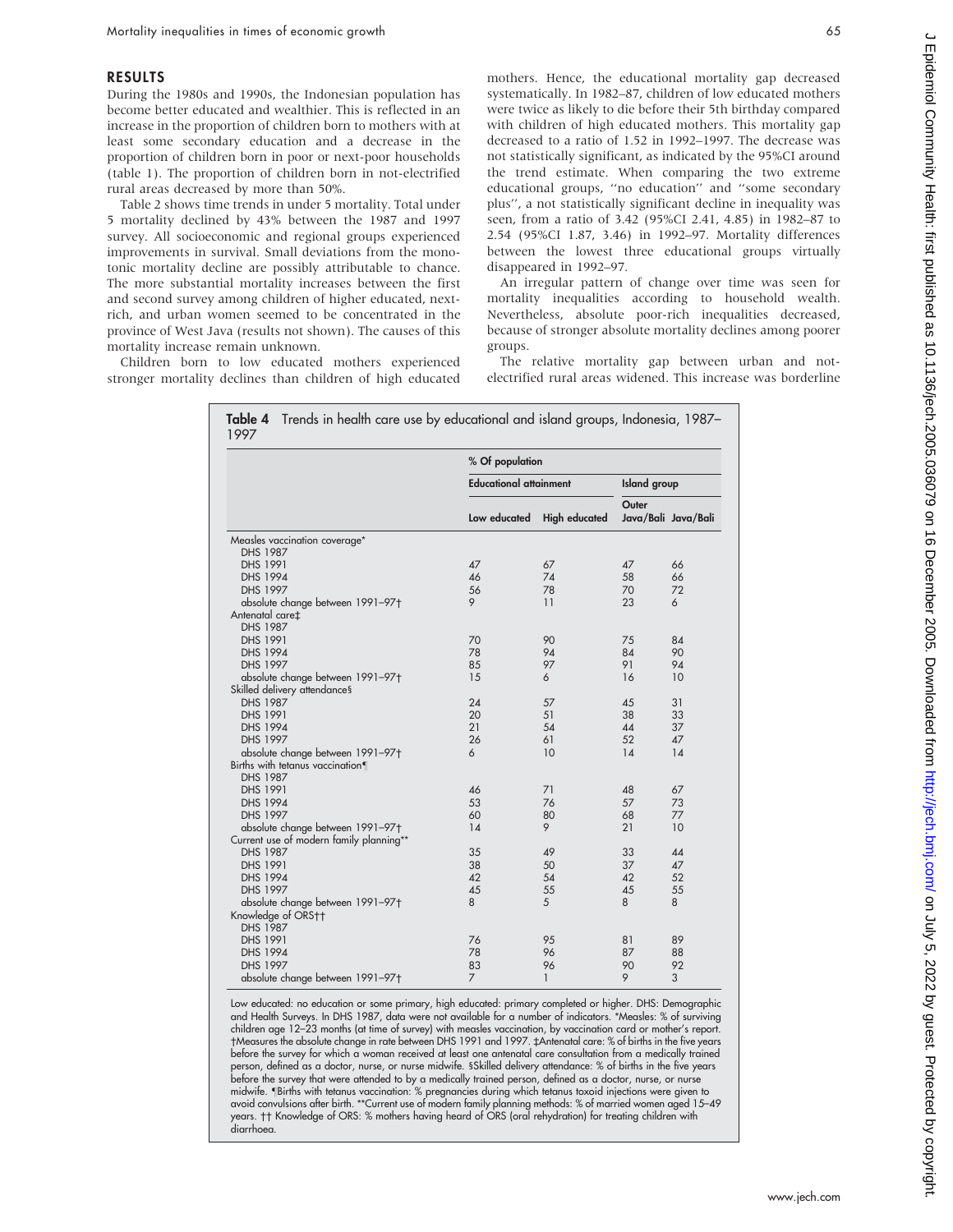## RESULTS

During the 1980s and 1990s, the Indonesian population has become better educated and wealthier. This is reflected in an increase in the proportion of children born to mothers with at least some secondary education and a decrease in the proportion of children born in poor or next-poor households (table 1). The proportion of children born in not-electrified rural areas decreased by more than 50%.

Table 2 shows time trends in under 5 mortality. Total under 5 mortality declined by 43% between the 1987 and 1997 survey. All socioeconomic and regional groups experienced improvements in survival. Small deviations from the monotonic mortality decline are possibly attributable to chance. The more substantial mortality increases between the first and second survey among children of higher educated, nextrich, and urban women seemed to be concentrated in the province of West Java (results not shown). The causes of this mortality increase remain unknown.

Children born to low educated mothers experienced stronger mortality declines than children of high educated mothers. Hence, the educational mortality gap decreased systematically. In 1982–87, children of low educated mothers were twice as likely to die before their 5th birthday compared with children of high educated mothers. This mortality gap decreased to a ratio of 1.52 in 1992–1997. The decrease was not statistically significant, as indicated by the 95%CI around the trend estimate. When comparing the two extreme educational groups, ''no education'' and ''some secondary plus'', a not statistically significant decline in inequality was seen, from a ratio of 3.42 (95%CI 2.41, 4.85) in 1982–87 to 2.54 (95%CI 1.87, 3.46) in 1992–97. Mortality differences between the lowest three educational groups virtually disappeared in 1992–97.

An irregular pattern of change over time was seen for mortality inequalities according to household wealth. Nevertheless, absolute poor-rich inequalities decreased, because of stronger absolute mortality declines among poorer groups.

The relative mortality gap between urban and notelectrified rural areas widened. This increase was borderline

|                                         | % Of population               |               |                              |    |  |  |
|-----------------------------------------|-------------------------------|---------------|------------------------------|----|--|--|
|                                         | <b>Educational attainment</b> |               | <b>Island</b> group          |    |  |  |
|                                         | Low educated                  | High educated | Outer<br>Java/Bali Java/Bali |    |  |  |
| Measles vaccination coverage*           |                               |               |                              |    |  |  |
| <b>DHS 1987</b>                         |                               |               |                              |    |  |  |
| DHS 1991                                | 47                            | 67            | 47                           | 66 |  |  |
| <b>DHS 1994</b>                         | 46                            | 74            | 58                           | 66 |  |  |
| <b>DHS 1997</b>                         | 56                            | 78            | 70                           | 72 |  |  |
| absolute change between 1991-97†        | 9                             | 11            | 23                           | 6  |  |  |
| Antenatal care <sup>+</sup>             |                               |               |                              |    |  |  |
| <b>DHS 1987</b>                         |                               |               |                              |    |  |  |
| <b>DHS 1991</b>                         | 70                            | 90            | 75                           | 84 |  |  |
| <b>DHS 1994</b>                         | 78                            | 94            | 84                           | 90 |  |  |
| <b>DHS 1997</b>                         | 85                            | 97            | 91                           | 94 |  |  |
| absolute change between 1991-97†        | 15                            | 6             | 16                           | 10 |  |  |
| Skilled delivery attendances            |                               |               |                              |    |  |  |
| <b>DHS 1987</b>                         | 24                            | 57            | 45                           | 31 |  |  |
| DHS 1991                                | 20                            | 51            | 38                           | 33 |  |  |
| <b>DHS 1994</b>                         | 21                            | 54            | 44                           | 37 |  |  |
| <b>DHS 1997</b>                         | 26                            | 61            | 52                           | 47 |  |  |
| absolute change between 1991-97†        | 6                             | 10            | 14                           | 14 |  |  |
| Births with tetanus vaccination¶        |                               |               |                              |    |  |  |
| <b>DHS 1987</b>                         |                               |               |                              |    |  |  |
| <b>DHS 1991</b>                         | 46                            | 71            | 48                           | 67 |  |  |
| <b>DHS 1994</b>                         | 53                            | 76            | 57                           | 73 |  |  |
| <b>DHS 1997</b>                         | 60                            | 80            | 68                           | 77 |  |  |
| absolute change between 1991-97†        | 14                            | 9             | 21                           | 10 |  |  |
| Current use of modern family planning** |                               |               |                              |    |  |  |
| <b>DHS 1987</b>                         | 35                            | 49            | 33                           | 44 |  |  |
| <b>DHS 1991</b>                         | 38                            | 50            | 37                           | 47 |  |  |
| <b>DHS 1994</b>                         | 42                            | 54            | 42                           | 52 |  |  |
| <b>DHS 1997</b>                         | 45                            | 55            | 45                           | 55 |  |  |
| absolute change between 1991-97†        | 8                             | 5             | 8                            | 8  |  |  |
| Knowledge of ORS++                      |                               |               |                              |    |  |  |
| <b>DHS 1987</b>                         |                               |               |                              |    |  |  |
| DHS 1991                                | 76                            | 95            | 81                           | 89 |  |  |
| <b>DHS 1994</b>                         | 78                            | 96            | 87                           | 88 |  |  |
| <b>DHS 1997</b>                         | 83                            | 96            | 90                           | 92 |  |  |
| absolute change between 1991-97†        | 7                             | 1             | 9                            | 3  |  |  |

Low educated: no education or some primary, high educated: primary completed or higher. DHS: Demographic and Health Surveys. In DHS 1987, data were not available for a number of indicators. \*Measles: % of surviving children age 12–23 months (at time of survey) with measles vaccination, by vaccination card or mother's report. †Measures the absolute change in rate between DHS 1991 and 1997. ‡Antenatal care: % of births in the five years before the survey for which a woman received at least one antenatal care consultation from a medically trained person, defined as a doctor, nurse, or nurse midwife. 1Skilled delivery attendance: % of births in the five years before the survey that were attended to by a medically trained person, defined as a doctor, nurse, or nurse midwife. ¶Births with tetanus vaccination: % pregnancies during which tetanus toxoid injections were given to avoid convulsions after birth. \*\*Current use of modern family planning methods: % of married women aged 15–49 years. †† Knowledge of ORS: % mothers having heard of ORS (oral rehydration) for treating children with diarrhoea.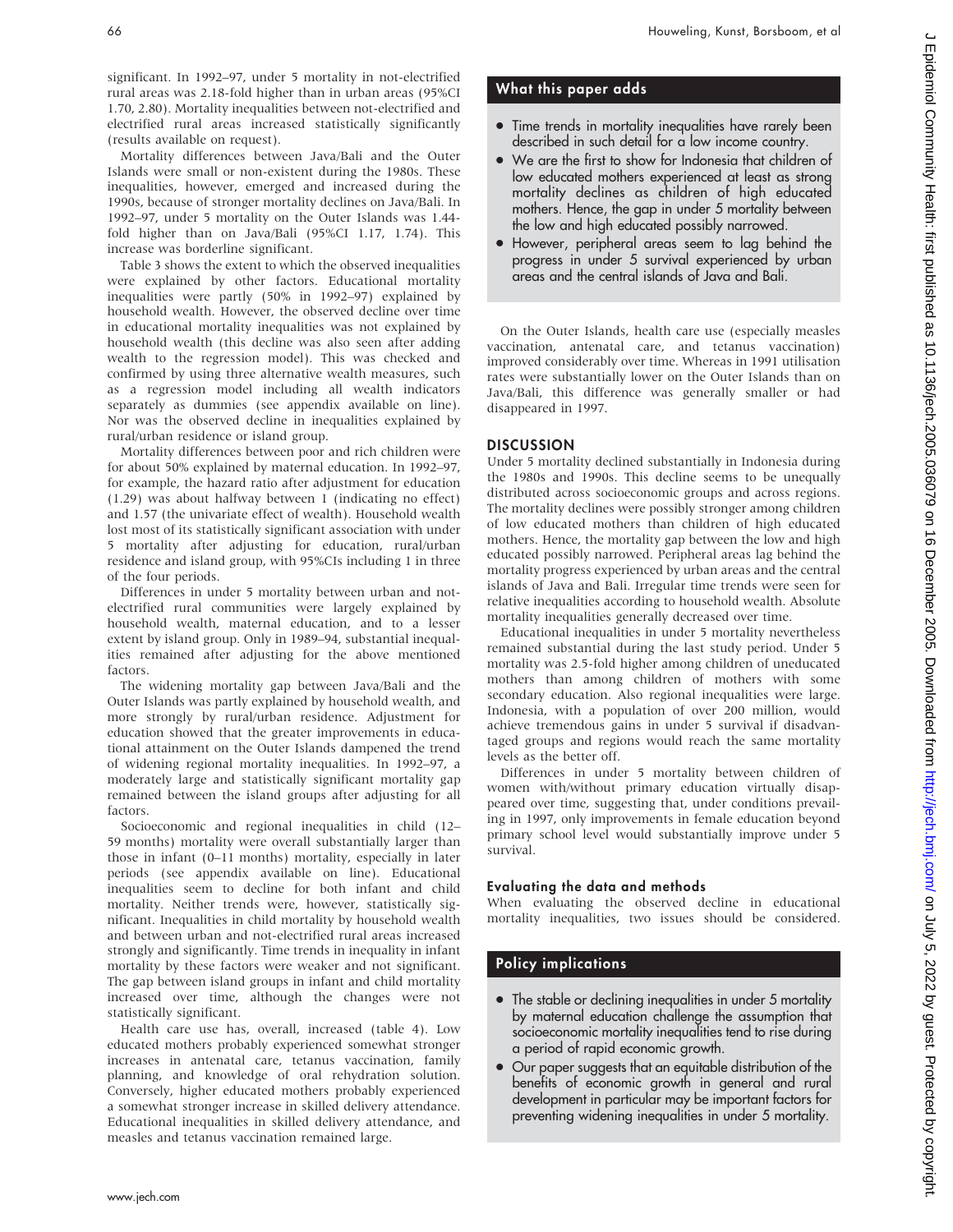significant. In 1992–97, under 5 mortality in not-electrified rural areas was 2.18-fold higher than in urban areas (95%CI 1.70, 2.80). Mortality inequalities between not-electrified and electrified rural areas increased statistically significantly (results available on request).

Mortality differences between Java/Bali and the Outer Islands were small or non-existent during the 1980s. These inequalities, however, emerged and increased during the 1990s, because of stronger mortality declines on Java/Bali. In 1992–97, under 5 mortality on the Outer Islands was 1.44 fold higher than on Java/Bali (95%CI 1.17, 1.74). This increase was borderline significant.

Table 3 shows the extent to which the observed inequalities were explained by other factors. Educational mortality inequalities were partly (50% in 1992–97) explained by household wealth. However, the observed decline over time in educational mortality inequalities was not explained by household wealth (this decline was also seen after adding wealth to the regression model). This was checked and confirmed by using three alternative wealth measures, such as a regression model including all wealth indicators separately as dummies (see appendix available on line). Nor was the observed decline in inequalities explained by rural/urban residence or island group.

Mortality differences between poor and rich children were for about 50% explained by maternal education. In 1992–97, for example, the hazard ratio after adjustment for education (1.29) was about halfway between 1 (indicating no effect) and 1.57 (the univariate effect of wealth). Household wealth lost most of its statistically significant association with under 5 mortality after adjusting for education, rural/urban residence and island group, with 95%CIs including 1 in three of the four periods.

Differences in under 5 mortality between urban and notelectrified rural communities were largely explained by household wealth, maternal education, and to a lesser extent by island group. Only in 1989–94, substantial inequalities remained after adjusting for the above mentioned factors.

The widening mortality gap between Java/Bali and the Outer Islands was partly explained by household wealth, and more strongly by rural/urban residence. Adjustment for education showed that the greater improvements in educational attainment on the Outer Islands dampened the trend of widening regional mortality inequalities. In 1992–97, a moderately large and statistically significant mortality gap remained between the island groups after adjusting for all factors.

Socioeconomic and regional inequalities in child (12– 59 months) mortality were overall substantially larger than those in infant (0–11 months) mortality, especially in later periods (see appendix available on line). Educational inequalities seem to decline for both infant and child mortality. Neither trends were, however, statistically significant. Inequalities in child mortality by household wealth and between urban and not-electrified rural areas increased strongly and significantly. Time trends in inequality in infant mortality by these factors were weaker and not significant. The gap between island groups in infant and child mortality increased over time, although the changes were not statistically significant.

Health care use has, overall, increased (table 4). Low educated mothers probably experienced somewhat stronger increases in antenatal care, tetanus vaccination, family planning, and knowledge of oral rehydration solution. Conversely, higher educated mothers probably experienced a somewhat stronger increase in skilled delivery attendance. Educational inequalities in skilled delivery attendance, and measles and tetanus vaccination remained large.

## What this paper adds

- Time trends in mortality inequalities have rarely been described in such detail for a low income country.
- We are the first to show for Indonesia that children of low educated mothers experienced at least as strong mortality declines as children of high educated mothers. Hence, the gap in under 5 mortality between the low and high educated possibly narrowed.
- However, peripheral areas seem to lag behind the progress in under 5 survival experienced by urban areas and the central islands of Java and Bali.

On the Outer Islands, health care use (especially measles vaccination, antenatal care, and tetanus vaccination) improved considerably over time. Whereas in 1991 utilisation rates were substantially lower on the Outer Islands than on Java/Bali, this difference was generally smaller or had disappeared in 1997.

## DISCUSSION

Under 5 mortality declined substantially in Indonesia during the 1980s and 1990s. This decline seems to be unequally distributed across socioeconomic groups and across regions. The mortality declines were possibly stronger among children of low educated mothers than children of high educated mothers. Hence, the mortality gap between the low and high educated possibly narrowed. Peripheral areas lag behind the mortality progress experienced by urban areas and the central islands of Java and Bali. Irregular time trends were seen for relative inequalities according to household wealth. Absolute mortality inequalities generally decreased over time.

Educational inequalities in under 5 mortality nevertheless remained substantial during the last study period. Under 5 mortality was 2.5-fold higher among children of uneducated mothers than among children of mothers with some secondary education. Also regional inequalities were large. Indonesia, with a population of over 200 million, would achieve tremendous gains in under 5 survival if disadvantaged groups and regions would reach the same mortality levels as the better off.

Differences in under 5 mortality between children of women with/without primary education virtually disappeared over time, suggesting that, under conditions prevailing in 1997, only improvements in female education beyond primary school level would substantially improve under 5 survival.

## Evaluating the data and methods

When evaluating the observed decline in educational mortality inequalities, two issues should be considered.

## Policy implications

- The stable or declining inequalities in under 5 mortality by maternal education challenge the assumption that socioeconomic mortality inequalities tend to rise during a period of rapid economic growth.
- Our paper suggests that an equitable distribution of the benefits of economic growth in general and rural development in particular may be important factors for preventing widening inequalities in under 5 mortality.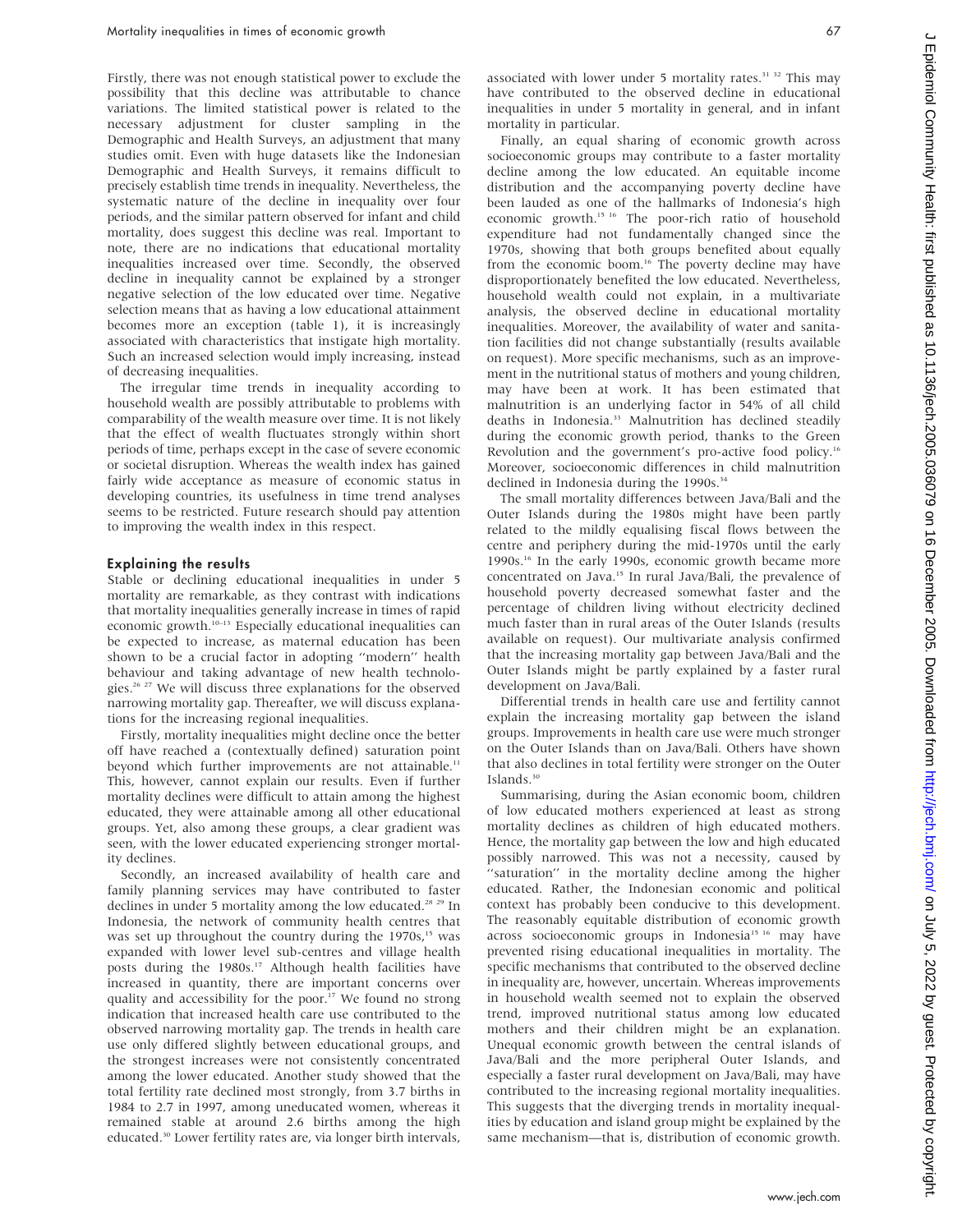Firstly, there was not enough statistical power to exclude the possibility that this decline was attributable to chance variations. The limited statistical power is related to the necessary adjustment for cluster sampling in the Demographic and Health Surveys, an adjustment that many studies omit. Even with huge datasets like the Indonesian Demographic and Health Surveys, it remains difficult to precisely establish time trends in inequality. Nevertheless, the systematic nature of the decline in inequality over four periods, and the similar pattern observed for infant and child mortality, does suggest this decline was real. Important to note, there are no indications that educational mortality inequalities increased over time. Secondly, the observed decline in inequality cannot be explained by a stronger negative selection of the low educated over time. Negative selection means that as having a low educational attainment becomes more an exception (table 1), it is increasingly associated with characteristics that instigate high mortality. Such an increased selection would imply increasing, instead of decreasing inequalities.

The irregular time trends in inequality according to household wealth are possibly attributable to problems with comparability of the wealth measure over time. It is not likely that the effect of wealth fluctuates strongly within short periods of time, perhaps except in the case of severe economic or societal disruption. Whereas the wealth index has gained fairly wide acceptance as measure of economic status in developing countries, its usefulness in time trend analyses seems to be restricted. Future research should pay attention to improving the wealth index in this respect.

### Explaining the results

Stable or declining educational inequalities in under 5 mortality are remarkable, as they contrast with indications that mortality inequalities generally increase in times of rapid economic growth.10–13 Especially educational inequalities can be expected to increase, as maternal education has been shown to be a crucial factor in adopting ''modern'' health behaviour and taking advantage of new health technologies.<sup>26 27</sup> We will discuss three explanations for the observed narrowing mortality gap. Thereafter, we will discuss explanations for the increasing regional inequalities.

Firstly, mortality inequalities might decline once the better off have reached a (contextually defined) saturation point beyond which further improvements are not attainable.<sup>11</sup> This, however, cannot explain our results. Even if further mortality declines were difficult to attain among the highest educated, they were attainable among all other educational groups. Yet, also among these groups, a clear gradient was seen, with the lower educated experiencing stronger mortality declines.

Secondly, an increased availability of health care and family planning services may have contributed to faster declines in under 5 mortality among the low educated.<sup>28</sup> <sup>29</sup> In Indonesia, the network of community health centres that was set up throughout the country during the  $1970s$ ,<sup>15</sup> was expanded with lower level sub-centres and village health posts during the 1980s.<sup>17</sup> Although health facilities have increased in quantity, there are important concerns over quality and accessibility for the poor.17 We found no strong indication that increased health care use contributed to the observed narrowing mortality gap. The trends in health care use only differed slightly between educational groups, and the strongest increases were not consistently concentrated among the lower educated. Another study showed that the total fertility rate declined most strongly, from 3.7 births in 1984 to 2.7 in 1997, among uneducated women, whereas it remained stable at around 2.6 births among the high educated.30 Lower fertility rates are, via longer birth intervals, associated with lower under 5 mortality rates.<sup>31 32</sup> This may have contributed to the observed decline in educational inequalities in under 5 mortality in general, and in infant mortality in particular.

Finally, an equal sharing of economic growth across socioeconomic groups may contribute to a faster mortality decline among the low educated. An equitable income distribution and the accompanying poverty decline have been lauded as one of the hallmarks of Indonesia's high economic growth.<sup>15 16</sup> The poor-rich ratio of household expenditure had not fundamentally changed since the 1970s, showing that both groups benefited about equally from the economic boom.<sup>16</sup> The poverty decline may have disproportionately benefited the low educated. Nevertheless, household wealth could not explain, in a multivariate analysis, the observed decline in educational mortality inequalities. Moreover, the availability of water and sanitation facilities did not change substantially (results available on request). More specific mechanisms, such as an improvement in the nutritional status of mothers and young children, may have been at work. It has been estimated that malnutrition is an underlying factor in 54% of all child deaths in Indonesia.<sup>33</sup> Malnutrition has declined steadily during the economic growth period, thanks to the Green Revolution and the government's pro-active food policy.<sup>16</sup> Moreover, socioeconomic differences in child malnutrition declined in Indonesia during the 1990s.<sup>34</sup>

The small mortality differences between Java/Bali and the Outer Islands during the 1980s might have been partly related to the mildly equalising fiscal flows between the centre and periphery during the mid-1970s until the early 1990s.16 In the early 1990s, economic growth became more concentrated on Java.15 In rural Java/Bali, the prevalence of household poverty decreased somewhat faster and the percentage of children living without electricity declined much faster than in rural areas of the Outer Islands (results available on request). Our multivariate analysis confirmed that the increasing mortality gap between Java/Bali and the Outer Islands might be partly explained by a faster rural development on Java/Bali.

Differential trends in health care use and fertility cannot explain the increasing mortality gap between the island groups. Improvements in health care use were much stronger on the Outer Islands than on Java/Bali. Others have shown that also declines in total fertility were stronger on the Outer Islands.<sup>30</sup>

Summarising, during the Asian economic boom, children of low educated mothers experienced at least as strong mortality declines as children of high educated mothers. Hence, the mortality gap between the low and high educated possibly narrowed. This was not a necessity, caused by "saturation" in the mortality decline among the higher educated. Rather, the Indonesian economic and political context has probably been conducive to this development. The reasonably equitable distribution of economic growth across socioeconomic groups in Indonesia<sup>15 16</sup> may have prevented rising educational inequalities in mortality. The specific mechanisms that contributed to the observed decline in inequality are, however, uncertain. Whereas improvements in household wealth seemed not to explain the observed trend, improved nutritional status among low educated mothers and their children might be an explanation. Unequal economic growth between the central islands of Java/Bali and the more peripheral Outer Islands, and especially a faster rural development on Java/Bali, may have contributed to the increasing regional mortality inequalities. This suggests that the diverging trends in mortality inequalities by education and island group might be explained by the same mechanism—that is, distribution of economic growth.